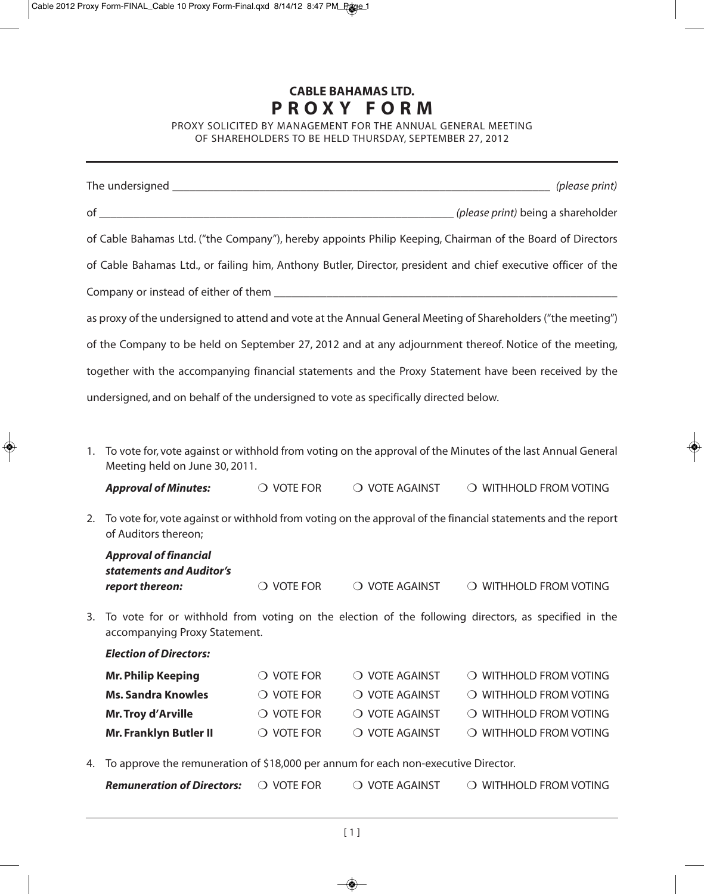## **CABLE BAHAMAS LTD. P R O X Y F O R M**

PROXY SOLICITED BY MANAGEMENT FOR THE ANNUAL GENERAL MEETING OF SHAREHOLDERS TO BE HELD THURSDAY, SEPTEMBER 27, 2012

|                                                                                                                                         |                                                                                                                                               |                                                                                                              |                         | of Cable Bahamas Ltd. ("the Company"), hereby appoints Philip Keeping, Chairman of the Board of Directors     |
|-----------------------------------------------------------------------------------------------------------------------------------------|-----------------------------------------------------------------------------------------------------------------------------------------------|--------------------------------------------------------------------------------------------------------------|-------------------------|---------------------------------------------------------------------------------------------------------------|
|                                                                                                                                         |                                                                                                                                               |                                                                                                              |                         | of Cable Bahamas Ltd., or failing him, Anthony Butler, Director, president and chief executive officer of the |
|                                                                                                                                         |                                                                                                                                               |                                                                                                              |                         |                                                                                                               |
|                                                                                                                                         |                                                                                                                                               |                                                                                                              |                         |                                                                                                               |
|                                                                                                                                         |                                                                                                                                               |                                                                                                              |                         | as proxy of the undersigned to attend and vote at the Annual General Meeting of Shareholders ("the meeting")  |
|                                                                                                                                         |                                                                                                                                               |                                                                                                              |                         | of the Company to be held on September 27, 2012 and at any adjournment thereof. Notice of the meeting,        |
|                                                                                                                                         |                                                                                                                                               |                                                                                                              |                         | together with the accompanying financial statements and the Proxy Statement have been received by the         |
|                                                                                                                                         | undersigned, and on behalf of the undersigned to vote as specifically directed below.                                                         |                                                                                                              |                         |                                                                                                               |
|                                                                                                                                         |                                                                                                                                               |                                                                                                              |                         |                                                                                                               |
|                                                                                                                                         |                                                                                                                                               |                                                                                                              |                         |                                                                                                               |
| 1.                                                                                                                                      | To vote for, vote against or withhold from voting on the approval of the Minutes of the last Annual General<br>Meeting held on June 30, 2011. |                                                                                                              |                         |                                                                                                               |
|                                                                                                                                         | <b>Approval of Minutes:</b>                                                                                                                   | $\bigcirc$ vote for                                                                                          | $\bigcirc$ vote against | O WITHHOLD FROM VOTING                                                                                        |
| 2.                                                                                                                                      | of Auditors thereon;                                                                                                                          | To vote for, vote against or withhold from voting on the approval of the financial statements and the report |                         |                                                                                                               |
|                                                                                                                                         | <b>Approval of financial</b>                                                                                                                  |                                                                                                              |                         |                                                                                                               |
|                                                                                                                                         | statements and Auditor's<br>report thereon:                                                                                                   | $\bigcirc$ vote for                                                                                          | O VOTE AGAINST          | O WITHHOLD FROM VOTING                                                                                        |
| 3. To vote for or withhold from voting on the election of the following directors, as specified in the<br>accompanying Proxy Statement. |                                                                                                                                               |                                                                                                              |                         |                                                                                                               |
|                                                                                                                                         | <b>Election of Directors:</b>                                                                                                                 |                                                                                                              |                         |                                                                                                               |
|                                                                                                                                         | <b>Mr. Philip Keeping</b>                                                                                                                     | $\bigcirc$ vote for                                                                                          | O VOTE AGAINST          | O WITHHOLD FROM VOTING                                                                                        |
|                                                                                                                                         | <b>Ms. Sandra Knowles</b>                                                                                                                     | $\bigcirc$ vote for                                                                                          | O VOTE AGAINST          | O WITHHOLD FROM VOTING                                                                                        |
|                                                                                                                                         | Mr. Troy d'Arville                                                                                                                            | $\bigcirc$ vote for                                                                                          | O VOTE AGAINST          | O WITHHOLD FROM VOTING                                                                                        |
|                                                                                                                                         | <b>Mr. Franklyn Butler II</b>                                                                                                                 | $\bigcirc$ vote for                                                                                          | O VOTE AGAINST          | O WITHHOLD FROM VOTING                                                                                        |
|                                                                                                                                         | approve the remuneration of \$10,000 per appum for each non evecutive Director                                                                |                                                                                                              |                         |                                                                                                               |

4. To approve the remuneration of \$18,000 per annum for each non-executive Director.

*Remuneration of Directors:* ❍ VOTE FOR ❍ VOTE AGAINST ❍ WITHHOLD FROM VOTING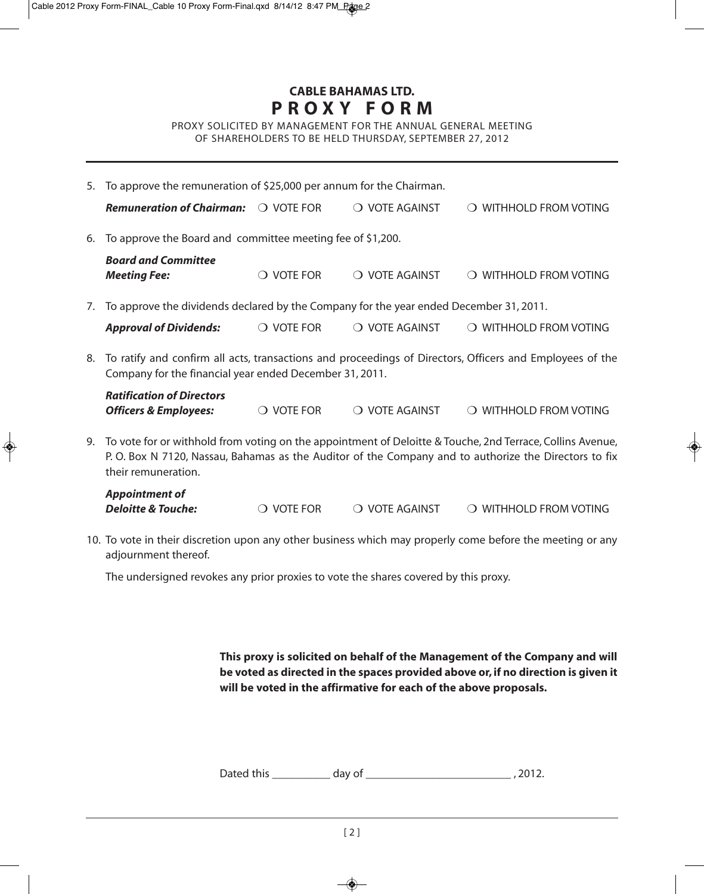## **CABLE BAHAMAS LTD. P R O X Y F O R M**

PROXY SOLICITED BY MANAGEMENT FOR THE ANNUAL GENERAL MEETING OF SHAREHOLDERS TO BE HELD THURSDAY, SEPTEMBER 27, 2012

|    | 5. To approve the remuneration of \$25,000 per annum for the Chairman.                                                                                                 |                     |                |                                                                                                                                                                                                                       |  |  |
|----|------------------------------------------------------------------------------------------------------------------------------------------------------------------------|---------------------|----------------|-----------------------------------------------------------------------------------------------------------------------------------------------------------------------------------------------------------------------|--|--|
|    | <b>Remuneration of Chairman:</b>                                                                                                                                       | O VOTE FOR          | O VOTE AGAINST | <b>WITHHOLD FROM VOTING</b><br>$\left( \right)$                                                                                                                                                                       |  |  |
| 6. | To approve the Board and committee meeting fee of \$1,200.                                                                                                             |                     |                |                                                                                                                                                                                                                       |  |  |
|    | <b>Board and Committee</b><br><b>Meeting Fee:</b>                                                                                                                      | $\bigcirc$ vote for | O VOTE AGAINST | O WITHHOLD FROM VOTING                                                                                                                                                                                                |  |  |
| 7. | To approve the dividends declared by the Company for the year ended December 31, 2011.                                                                                 |                     |                |                                                                                                                                                                                                                       |  |  |
|    | <b>Approval of Dividends:</b>                                                                                                                                          | $\bigcirc$ vote for | O VOTE AGAINST | O WITHHOLD FROM VOTING                                                                                                                                                                                                |  |  |
|    | 8. To ratify and confirm all acts, transactions and proceedings of Directors, Officers and Employees of the<br>Company for the financial year ended December 31, 2011. |                     |                |                                                                                                                                                                                                                       |  |  |
|    | <b>Ratification of Directors</b><br><b>Officers &amp; Employees:</b>                                                                                                   | $\bigcirc$ vote for | O VOTE AGAINST | O WITHHOLD FROM VOTING                                                                                                                                                                                                |  |  |
|    |                                                                                                                                                                        |                     |                | 9. To vote for or withhold from voting on the appointment of Deloitte & Touche, 2nd Terrace, Collins Avenue,<br>P. O. Box N 7120, Nassau, Bahamas as the Auditor of the Company and to authorize the Directors to fix |  |  |

their remuneration.

| <b>Appointment of</b>         |                     |                |                                 |
|-------------------------------|---------------------|----------------|---------------------------------|
| <b>Deloitte &amp; Touche:</b> | $\bigcirc$ vote for | ○ VOTE AGAINST | $\bigcirc$ withhold from voting |

10. To vote in their discretion upon any other business which may properly come before the meeting or any adjournment thereof.

The undersigned revokes any prior proxies to vote the shares covered by this proxy.

**This proxy is solicited on behalf of the Management of the Company and will be voted as directed in the spaces provided above or, if no direction is given it will be voted in the affirmative for each of the above proposals.**

| Dated this | day of |  |  |
|------------|--------|--|--|
|------------|--------|--|--|